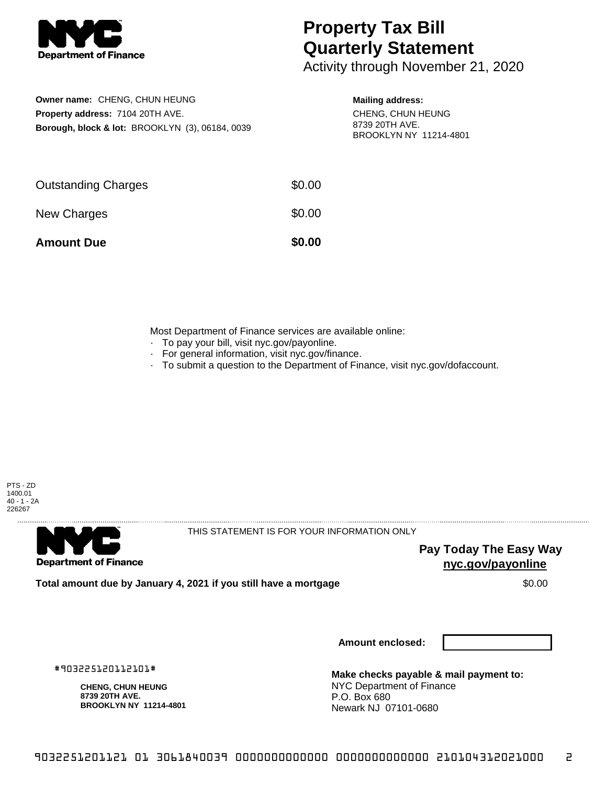

## **Property Tax Bill Quarterly Statement**

Activity through November 21, 2020

| Owner name: CHENG, CHUN HEUNG                              |
|------------------------------------------------------------|
| <b>Property address: 7104 20TH AVE.</b>                    |
| <b>Borough, block &amp; lot: BROOKLYN (3), 06184, 0039</b> |

## **Mailing address:**

CHENG, CHUN HEUNG 8739 20TH AVE. BROOKLYN NY 11214-4801

| <b>Amount Due</b>          | \$0.00 |
|----------------------------|--------|
| New Charges                | \$0.00 |
| <b>Outstanding Charges</b> | \$0.00 |

Most Department of Finance services are available online:

- · To pay your bill, visit nyc.gov/payonline.
- For general information, visit nyc.gov/finance.
- · To submit a question to the Department of Finance, visit nyc.gov/dofaccount.





THIS STATEMENT IS FOR YOUR INFORMATION ONLY

**Pay Today The Easy Way nyc.gov/payonline**

**Total amount due by January 4, 2021 if you still have a mortgage**  $$0.00$ 

**Amount enclosed:**

#903225120112101#

**CHENG, CHUN HEUNG 8739 20TH AVE. BROOKLYN NY 11214-4801**

**Make checks payable & mail payment to:** NYC Department of Finance P.O. Box 680 Newark NJ 07101-0680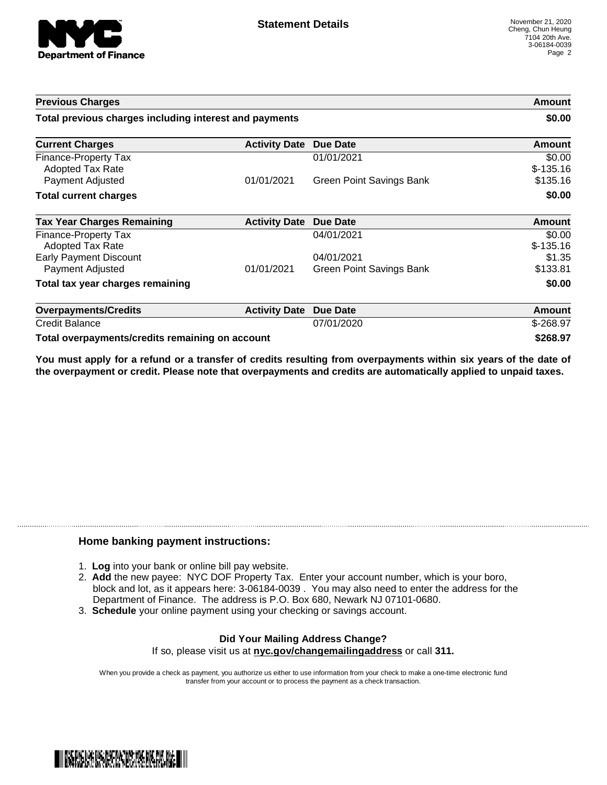

| <b>Previous Charges</b>                                |                      |                                 | Amount               |
|--------------------------------------------------------|----------------------|---------------------------------|----------------------|
| Total previous charges including interest and payments |                      |                                 | \$0.00               |
| <b>Current Charges</b>                                 | <b>Activity Date</b> | <b>Due Date</b>                 | Amount               |
| Finance-Property Tax<br><b>Adopted Tax Rate</b>        |                      | 01/01/2021                      | \$0.00<br>$$-135.16$ |
| Payment Adjusted                                       | 01/01/2021           | <b>Green Point Savings Bank</b> | \$135.16             |
| <b>Total current charges</b>                           |                      |                                 | \$0.00               |
| <b>Tax Year Charges Remaining</b>                      | <b>Activity Date</b> | <b>Due Date</b>                 | <b>Amount</b>        |
| Finance-Property Tax<br>Adopted Tax Rate               |                      | 04/01/2021                      | \$0.00<br>$$-135.16$ |
| <b>Early Payment Discount</b>                          |                      | 04/01/2021                      | \$1.35               |
| Payment Adjusted                                       | 01/01/2021           | Green Point Savings Bank        | \$133.81             |
| Total tax year charges remaining                       |                      |                                 | \$0.00               |
| <b>Overpayments/Credits</b>                            | <b>Activity Date</b> | <b>Due Date</b>                 | Amount               |
| <b>Credit Balance</b>                                  |                      | 07/01/2020                      | $$-268.97$           |
| Total overpayments/credits remaining on account        |                      |                                 | \$268.97             |

You must apply for a refund or a transfer of credits resulting from overpayments within six years of the date of **the overpayment or credit. Please note that overpayments and credits are automatically applied to unpaid taxes.**

## **Home banking payment instructions:**

- 1. **Log** into your bank or online bill pay website.
- 2. **Add** the new payee: NYC DOF Property Tax. Enter your account number, which is your boro, block and lot, as it appears here: 3-06184-0039 . You may also need to enter the address for the Department of Finance. The address is P.O. Box 680, Newark NJ 07101-0680.
- 3. **Schedule** your online payment using your checking or savings account.

## **Did Your Mailing Address Change?** If so, please visit us at **nyc.gov/changemailingaddress** or call **311.**

When you provide a check as payment, you authorize us either to use information from your check to make a one-time electronic fund transfer from your account or to process the payment as a check transaction.